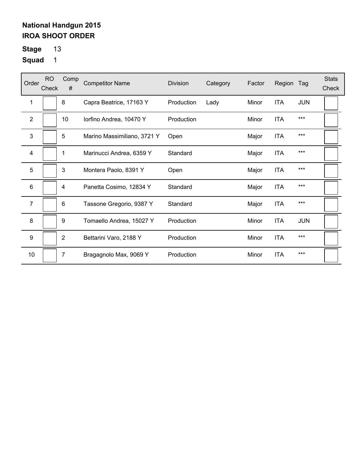# **Stage** 13

| Order          | <b>RO</b><br>Check | Comp<br>#      | <b>Competitor Name</b>      | Division   | Category | Factor | Region     | Tag        | <b>Stats</b><br>Check |
|----------------|--------------------|----------------|-----------------------------|------------|----------|--------|------------|------------|-----------------------|
| 1              |                    | 8              | Capra Beatrice, 17163 Y     | Production | Lady     | Minor  | <b>ITA</b> | <b>JUN</b> |                       |
| $\overline{2}$ |                    | 10             | lorfino Andrea, 10470 Y     | Production |          | Minor  | <b>ITA</b> | $***$      |                       |
| 3              |                    | 5              | Marino Massimiliano, 3721 Y | Open       |          | Major  | <b>ITA</b> | $***$      |                       |
| $\overline{4}$ |                    | 1              | Marinucci Andrea, 6359 Y    | Standard   |          | Major  | <b>ITA</b> | $***$      |                       |
| 5              |                    | 3              | Montera Paolo, 8391 Y       | Open       |          | Major  | <b>ITA</b> | $***$      |                       |
| 6              |                    | 4              | Panetta Cosimo, 12834 Y     | Standard   |          | Major  | <b>ITA</b> | $***$      |                       |
| 7              |                    | 6              | Tassone Gregorio, 9387 Y    | Standard   |          | Major  | <b>ITA</b> | $***$      |                       |
| 8              |                    | 9              | Tomaello Andrea, 15027 Y    | Production |          | Minor  | <b>ITA</b> | <b>JUN</b> |                       |
| 9              |                    | $\overline{2}$ | Bettarini Varo, 2188 Y      | Production |          | Minor  | <b>ITA</b> | $***$      |                       |
| 10             |                    | 7              | Bragagnolo Max, 9069 Y      | Production |          | Minor  | <b>ITA</b> | ***        |                       |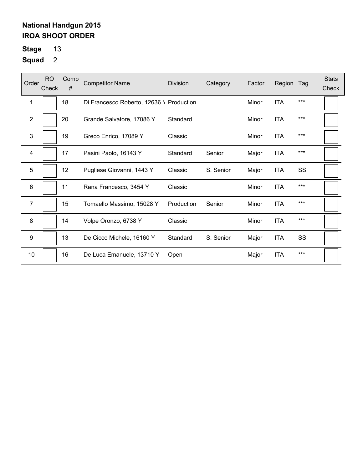**Stage** 13

| Order          | RO.<br>Check | Comp<br># | <b>Competitor Name</b>                   | <b>Division</b> | Category  | Factor | Region     | Tag   | <b>Stats</b><br>Check |
|----------------|--------------|-----------|------------------------------------------|-----------------|-----------|--------|------------|-------|-----------------------|
| $\mathbf 1$    |              | 18        | Di Francesco Roberto, 12636 \ Production |                 |           | Minor  | <b>ITA</b> | ***   |                       |
| $\overline{2}$ |              | 20        | Grande Salvatore, 17086 Y                | Standard        |           | Minor  | <b>ITA</b> | $***$ |                       |
| 3              |              | 19        | Greco Enrico, 17089 Y                    | Classic         |           | Minor  | <b>ITA</b> | $***$ |                       |
| 4              |              | 17        | Pasini Paolo, 16143 Y                    | Standard        | Senior    | Major  | ITA        | $***$ |                       |
| 5              |              | 12        | Pugliese Giovanni, 1443 Y                | Classic         | S. Senior | Major  | <b>ITA</b> | SS    |                       |
| 6              |              | 11        | Rana Francesco, 3454 Y                   | Classic         |           | Minor  | <b>ITA</b> | $***$ |                       |
| $\overline{7}$ |              | 15        | Tomaello Massimo, 15028 Y                | Production      | Senior    | Minor  | <b>ITA</b> | $***$ |                       |
| 8              |              | 14        | Volpe Oronzo, 6738 Y                     | Classic         |           | Minor  | <b>ITA</b> | $***$ |                       |
| 9              |              | 13        | De Cicco Michele, 16160 Y                | Standard        | S. Senior | Major  | <b>ITA</b> | SS    |                       |
| 10             |              | 16        | De Luca Emanuele, 13710 Y                | Open            |           | Major  | <b>ITA</b> | $***$ |                       |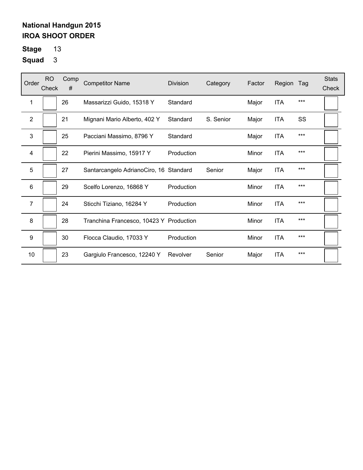**Stage** 13

| Order            | <b>RO</b><br>Check | Comp<br># | <b>Competitor Name</b>                  | <b>Division</b> | Category  | Factor | Region     | Tag   | <b>Stats</b><br>Check |
|------------------|--------------------|-----------|-----------------------------------------|-----------------|-----------|--------|------------|-------|-----------------------|
| 1                |                    | 26        | Massarizzi Guido, 15318 Y               | Standard        |           | Major  | <b>ITA</b> | $***$ |                       |
| $\overline{2}$   |                    | 21        | Mignani Mario Alberto, 402 Y            | Standard        | S. Senior | Major  | <b>ITA</b> | SS    |                       |
| 3                |                    | 25        | Pacciani Massimo, 8796 Y                | Standard        |           | Major  | <b>ITA</b> | $***$ |                       |
| 4                |                    | 22        | Pierini Massimo, 15917 Y                | Production      |           | Minor  | <b>ITA</b> | $***$ |                       |
| 5                |                    | 27        | Santarcangelo AdrianoCiro, 16 Standard  |                 | Senior    | Major  | ITA        | $***$ |                       |
| 6                |                    | 29        | Scelfo Lorenzo, 16868 Y                 | Production      |           | Minor  | <b>ITA</b> | ***   |                       |
| $\overline{7}$   |                    | 24        | Sticchi Tiziano, 16284 Y                | Production      |           | Minor  | <b>ITA</b> | ***   |                       |
| 8                |                    | 28        | Tranchina Francesco, 10423 Y Production |                 |           | Minor  | <b>ITA</b> | $***$ |                       |
| $\boldsymbol{9}$ |                    | 30        | Flocca Claudio, 17033 Y                 | Production      |           | Minor  | <b>ITA</b> | ***   |                       |
| 10               |                    | 23        | Gargiulo Francesco, 12240 Y             | Revolver        | Senior    | Major  | <b>ITA</b> | $***$ |                       |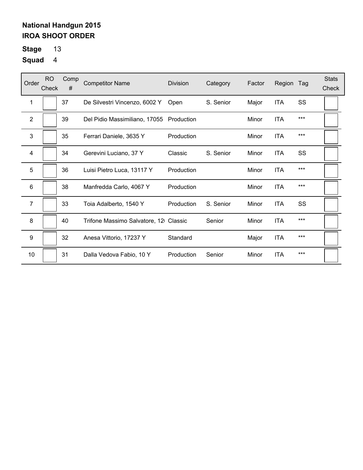**Stage** 13

| Order          | <b>RO</b><br>Check | Comp<br># | <b>Competitor Name</b>                   | Division   | Category  | Factor | Region     | Tag       | <b>Stats</b><br>Check |
|----------------|--------------------|-----------|------------------------------------------|------------|-----------|--------|------------|-----------|-----------------------|
| 1              |                    | 37        | De Silvestri Vincenzo, 6002 Y            | Open       | S. Senior | Major  | <b>ITA</b> | SS        |                       |
| $\mathbf{2}$   |                    | 39        | Del Pidio Massimiliano, 17055 Production |            |           | Minor  | <b>ITA</b> | $***$     |                       |
| 3              |                    | 35        | Ferrari Daniele, 3635 Y                  | Production |           | Minor  | <b>ITA</b> | ***       |                       |
| 4              |                    | 34        | Gerevini Luciano, 37 Y                   | Classic    | S. Senior | Minor  | <b>ITA</b> | <b>SS</b> |                       |
| 5              |                    | 36        | Luisi Pietro Luca, 13117 Y               | Production |           | Minor  | <b>ITA</b> | $***$     |                       |
| 6              |                    | 38        | Manfredda Carlo, 4067 Y                  | Production |           | Minor  | <b>ITA</b> | $***$     |                       |
| $\overline{7}$ |                    | 33        | Toia Adalberto, 1540 Y                   | Production | S. Senior | Minor  | <b>ITA</b> | SS        |                       |
| 8              |                    | 40        | Trifone Massimo Salvatore, 12 Classic    |            | Senior    | Minor  | <b>ITA</b> | $***$     |                       |
| 9              |                    | 32        | Anesa Vittorio, 17237 Y                  | Standard   |           | Major  | <b>ITA</b> | $***$     |                       |
| 10             |                    | 31        | Dalla Vedova Fabio, 10 Y                 | Production | Senior    | Minor  | <b>ITA</b> | $***$     |                       |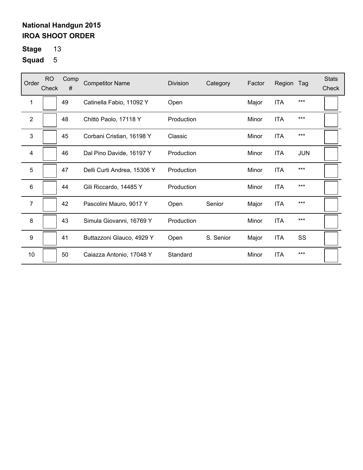**Stage** 13

| Order          | <b>RO</b><br>Check | Comp<br># | <b>Competitor Name</b>      | Division   | Category  | Factor | Region     | Tag        | <b>Stats</b><br>Check |
|----------------|--------------------|-----------|-----------------------------|------------|-----------|--------|------------|------------|-----------------------|
| 1              |                    | 49        | Catinella Fabio, 11092 Y    | Open       |           | Major  | <b>ITA</b> | $***$      |                       |
| $\overline{2}$ |                    | 48        | Chittò Paolo, 17118 Y       | Production |           | Minor  | <b>ITA</b> | $***$      |                       |
| 3              |                    | 45        | Corbani Cristian, 16198 Y   | Classic    |           | Minor  | <b>ITA</b> | $***$      |                       |
| 4              |                    | 46        | Dal Pino Davide, 16197 Y    | Production |           | Minor  | <b>ITA</b> | <b>JUN</b> |                       |
| 5              |                    | 47        | Delli Curti Andrea, 15306 Y | Production |           | Minor  | <b>ITA</b> | $***$      |                       |
| 6              |                    | 44        | Gili Riccardo, 14485 Y      | Production |           | Minor  | <b>ITA</b> | $***$      |                       |
| $\overline{7}$ |                    | 42        | Pascolini Mauro, 9017 Y     | Open       | Senior    | Major  | <b>ITA</b> | $***$      |                       |
| 8              |                    | 43        | Simula Giovanni, 16769 Y    | Production |           | Minor  | <b>ITA</b> | ***        |                       |
| 9              |                    | 41        | Buttazzoni Glauco, 4929 Y   | Open       | S. Senior | Major  | <b>ITA</b> | SS         |                       |
| 10             |                    | 50        | Caiazza Antonio, 17048 Y    | Standard   |           | Minor  | <b>ITA</b> | $***$      |                       |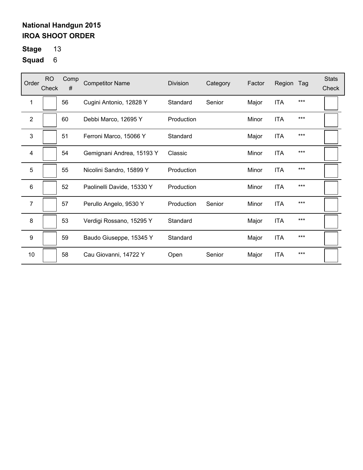**Stage** 13

| Order            | <b>RO</b><br>Check | Comp<br># | <b>Competitor Name</b>     | <b>Division</b> | Category | Factor | Region     | Tag   | <b>Stats</b><br>Check |
|------------------|--------------------|-----------|----------------------------|-----------------|----------|--------|------------|-------|-----------------------|
| 1                |                    | 56        | Cugini Antonio, 12828 Y    | Standard        | Senior   | Major  | <b>ITA</b> | $***$ |                       |
| 2                |                    | 60        | Debbi Marco, 12695 Y       | Production      |          | Minor  | <b>ITA</b> | $***$ |                       |
| 3                |                    | 51        | Ferroni Marco, 15066 Y     | Standard        |          | Major  | <b>ITA</b> | $***$ |                       |
| 4                |                    | 54        | Gemignani Andrea, 15193 Y  | Classic         |          | Minor  | <b>ITA</b> | $***$ |                       |
| 5                |                    | 55        | Nicolini Sandro, 15899 Y   | Production      |          | Minor  | <b>ITA</b> | $***$ |                       |
| 6                |                    | 52        | Paolinelli Davide, 15330 Y | Production      |          | Minor  | <b>ITA</b> | ***   |                       |
| $\overline{7}$   |                    | 57        | Perullo Angelo, 9530 Y     | Production      | Senior   | Minor  | <b>ITA</b> | $***$ |                       |
| 8                |                    | 53        | Verdigi Rossano, 15295 Y   | Standard        |          | Major  | <b>ITA</b> | $***$ |                       |
| $\boldsymbol{9}$ |                    | 59        | Baudo Giuseppe, 15345 Y    | Standard        |          | Major  | <b>ITA</b> | $***$ |                       |
| 10               |                    | 58        | Cau Giovanni, 14722 Y      | Open            | Senior   | Major  | <b>ITA</b> | $***$ |                       |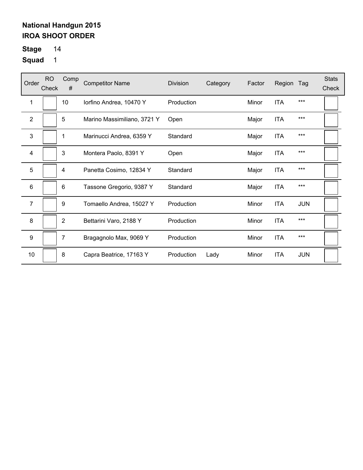# **Stage** 14

| Order            | <b>RO</b><br>Check | Comp<br>#      | <b>Competitor Name</b>      | <b>Division</b> | Category | Factor | Region     | Tag        | <b>Stats</b><br>Check |
|------------------|--------------------|----------------|-----------------------------|-----------------|----------|--------|------------|------------|-----------------------|
| 1                |                    | 10             | lorfino Andrea, 10470 Y     | Production      |          | Minor  | <b>ITA</b> | $***$      |                       |
| 2                |                    | 5              | Marino Massimiliano, 3721 Y | Open            |          | Major  | <b>ITA</b> | $***$      |                       |
| 3                |                    | 1              | Marinucci Andrea, 6359 Y    | Standard        |          | Major  | <b>ITA</b> | $***$      |                       |
| 4                |                    | 3              | Montera Paolo, 8391 Y       | Open            |          | Major  | <b>ITA</b> | $***$      |                       |
| 5                |                    | 4              | Panetta Cosimo, 12834 Y     | Standard        |          | Major  | <b>ITA</b> | $***$      |                       |
| 6                |                    | 6              | Tassone Gregorio, 9387 Y    | Standard        |          | Major  | <b>ITA</b> | ***        |                       |
| $\overline{7}$   |                    | 9              | Tomaello Andrea, 15027 Y    | Production      |          | Minor  | <b>ITA</b> | <b>JUN</b> |                       |
| 8                |                    | $\overline{2}$ | Bettarini Varo, 2188 Y      | Production      |          | Minor  | <b>ITA</b> | $***$      |                       |
| $\boldsymbol{9}$ |                    | 7              | Bragagnolo Max, 9069 Y      | Production      |          | Minor  | <b>ITA</b> | $***$      |                       |
| 10               |                    | 8              | Capra Beatrice, 17163 Y     | Production      | Lady     | Minor  | <b>ITA</b> | <b>JUN</b> |                       |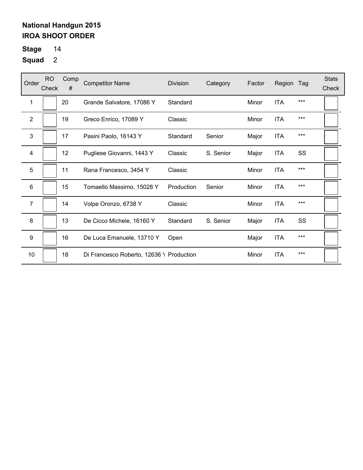# **Stage** 14

| Order            | <b>RO</b><br>Check | Comp<br># | <b>Competitor Name</b>                   | <b>Division</b> | Category  | Factor | Region     | Tag | <b>Stats</b><br>Check |
|------------------|--------------------|-----------|------------------------------------------|-----------------|-----------|--------|------------|-----|-----------------------|
| 1                |                    | 20        | Grande Salvatore, 17086 Y                | Standard        |           | Minor  | <b>ITA</b> | *** |                       |
| $\overline{2}$   |                    | 19        | Greco Enrico, 17089 Y                    | Classic         |           | Minor  | <b>ITA</b> | *** |                       |
| 3                |                    | 17        | Pasini Paolo, 16143 Y                    | Standard        | Senior    | Major  | <b>ITA</b> | *** |                       |
| 4                |                    | 12        | Pugliese Giovanni, 1443 Y                | Classic         | S. Senior | Major  | <b>ITA</b> | SS  |                       |
| 5                |                    | 11        | Rana Francesco, 3454 Y                   | Classic         |           | Minor  | <b>ITA</b> | *** |                       |
| 6                |                    | 15        | Tomaello Massimo, 15028 Y                | Production      | Senior    | Minor  | <b>ITA</b> | *** |                       |
| $\overline{7}$   |                    | 14        | Volpe Oronzo, 6738 Y                     | Classic         |           | Minor  | <b>ITA</b> | *** |                       |
| 8                |                    | 13        | De Cicco Michele, 16160 Y                | Standard        | S. Senior | Major  | <b>ITA</b> | SS  |                       |
| $\boldsymbol{9}$ |                    | 16        | De Luca Emanuele, 13710 Y                | Open            |           | Major  | <b>ITA</b> | *** |                       |
| 10               |                    | 18        | Di Francesco Roberto, 12636 \ Production |                 |           | Minor  | <b>ITA</b> | *** |                       |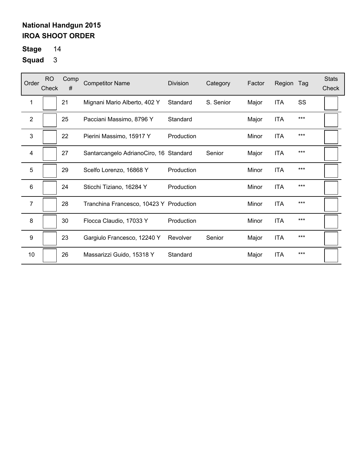# **Stage** 14

| Order          | <b>RO</b><br>Check | Comp<br># | <b>Competitor Name</b>                  | <b>Division</b> | Category  | Factor | Region     | Tag   | <b>Stats</b><br>Check |
|----------------|--------------------|-----------|-----------------------------------------|-----------------|-----------|--------|------------|-------|-----------------------|
| 1              |                    | 21        | Mignani Mario Alberto, 402 Y            | Standard        | S. Senior | Major  | <b>ITA</b> | SS    |                       |
| $\overline{2}$ |                    | 25        | Pacciani Massimo, 8796 Y                | Standard        |           | Major  | <b>ITA</b> | $***$ |                       |
| 3              |                    | 22        | Pierini Massimo, 15917 Y                | Production      |           | Minor  | <b>ITA</b> | $***$ |                       |
| $\overline{4}$ |                    | 27        | Santarcangelo AdrianoCiro, 16 Standard  |                 | Senior    | Major  | <b>ITA</b> | ***   |                       |
| 5              |                    | 29        | Scelfo Lorenzo, 16868 Y                 | Production      |           | Minor  | <b>ITA</b> | $***$ |                       |
| 6              |                    | 24        | Sticchi Tiziano, 16284 Y                | Production      |           | Minor  | <b>ITA</b> | $***$ |                       |
| 7              |                    | 28        | Tranchina Francesco, 10423 Y Production |                 |           | Minor  | <b>ITA</b> | $***$ |                       |
| 8              |                    | 30        | Flocca Claudio, 17033 Y                 | Production      |           | Minor  | <b>ITA</b> | $***$ |                       |
| 9              |                    | 23        | Gargiulo Francesco, 12240 Y             | Revolver        | Senior    | Major  | <b>ITA</b> | ***   |                       |
| 10             |                    | 26        | Massarizzi Guido, 15318 Y               | Standard        |           | Major  | <b>ITA</b> | $***$ |                       |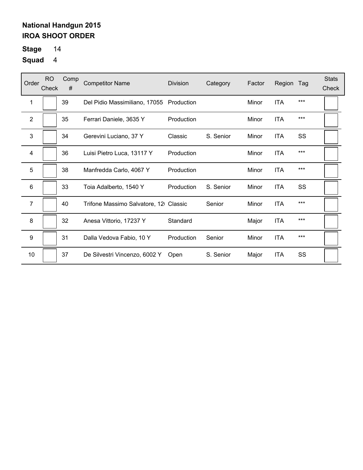# **Stage** 14

| Order           | RO.<br>Check | Comp<br># | <b>Competitor Name</b>                   | <b>Division</b>   | Category  | Factor | Region     | Tag   | <b>Stats</b><br>Check |
|-----------------|--------------|-----------|------------------------------------------|-------------------|-----------|--------|------------|-------|-----------------------|
| 1               |              | 39        | Del Pidio Massimiliano, 17055 Production |                   |           | Minor  | <b>ITA</b> | ***   |                       |
| $\overline{2}$  |              | 35        | Ferrari Daniele, 3635 Y                  | Production        |           | Minor  | <b>ITA</b> | ***   |                       |
| 3               |              | 34        | Gerevini Luciano, 37 Y                   | Classic           | S. Senior | Minor  | <b>ITA</b> | SS    |                       |
| 4               |              | 36        | Luisi Pietro Luca, 13117 Y               | Production        |           | Minor  | <b>ITA</b> | $***$ |                       |
| 5               |              | 38        | Manfredda Carlo, 4067 Y                  | Production        |           | Minor  | <b>ITA</b> | ***   |                       |
| $6\phantom{1}6$ |              | 33        | Toia Adalberto, 1540 Y                   | <b>Production</b> | S. Senior | Minor  | <b>ITA</b> | SS    |                       |
| $\overline{7}$  |              | 40        | Trifone Massimo Salvatore, 12 Classic    |                   | Senior    | Minor  | <b>ITA</b> | ***   |                       |
| 8               |              | 32        | Anesa Vittorio, 17237 Y                  | Standard          |           | Major  | <b>ITA</b> | ***   |                       |
| 9               |              | 31        | Dalla Vedova Fabio, 10 Y                 | Production        | Senior    | Minor  | <b>ITA</b> | ***   |                       |
| 10              |              | 37        | De Silvestri Vincenzo, 6002 Y            | Open              | S. Senior | Major  | <b>ITA</b> | SS    |                       |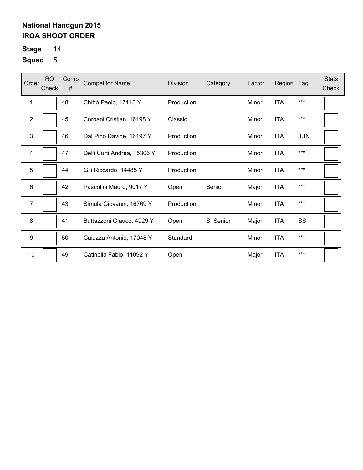# **Stage** 14

| Order            | <b>RO</b><br>Check | Comp<br># | <b>Competitor Name</b>      | <b>Division</b> | Category  | Factor | Region     | Tag        | <b>Stats</b><br>Check |
|------------------|--------------------|-----------|-----------------------------|-----------------|-----------|--------|------------|------------|-----------------------|
| 1                |                    | 48        | Chittò Paolo, 17118 Y       | Production      |           | Minor  | <b>ITA</b> | ***        |                       |
| $\overline{2}$   |                    | 45        | Corbani Cristian, 16198 Y   | Classic         |           | Minor  | <b>ITA</b> | $***$      |                       |
| 3                |                    | 46        | Dal Pino Davide, 16197 Y    | Production      |           | Minor  | <b>ITA</b> | <b>JUN</b> |                       |
| $\overline{4}$   |                    | 47        | Delli Curti Andrea, 15306 Y | Production      |           | Minor  | <b>ITA</b> | ***        |                       |
| 5                |                    | 44        | Gili Riccardo, 14485 Y      | Production      |           | Minor  | <b>ITA</b> | ***        |                       |
| 6                |                    | 42        | Pascolini Mauro, 9017 Y     | Open            | Senior    | Major  | <b>ITA</b> | ***        |                       |
| $\overline{7}$   |                    | 43        | Simula Giovanni, 16769 Y    | Production      |           | Minor  | <b>ITA</b> | ***        |                       |
| 8                |                    | 41        | Buttazzoni Glauco, 4929 Y   | Open            | S. Senior | Major  | <b>ITA</b> | SS         |                       |
| $\boldsymbol{9}$ |                    | 50        | Caiazza Antonio, 17048 Y    | Standard        |           | Minor  | <b>ITA</b> | ***        |                       |
| 10               |                    | 49        | Catinella Fabio, 11092 Y    | Open            |           | Major  | <b>ITA</b> | ***        |                       |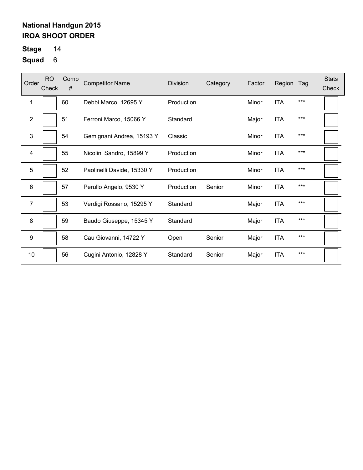**Stage** 14

| Order            | <b>RO</b><br>Check | Comp<br># | <b>Competitor Name</b>     | <b>Division</b> | Category | Factor | Region     | Tag   | <b>Stats</b><br>Check |
|------------------|--------------------|-----------|----------------------------|-----------------|----------|--------|------------|-------|-----------------------|
| 1                |                    | 60        | Debbi Marco, 12695 Y       | Production      |          | Minor  | <b>ITA</b> | $***$ |                       |
| $\overline{2}$   |                    | 51        | Ferroni Marco, 15066 Y     | Standard        |          | Major  | <b>ITA</b> | $***$ |                       |
| 3                |                    | 54        | Gemignani Andrea, 15193 Y  | Classic         |          | Minor  | <b>ITA</b> | $***$ |                       |
| 4                |                    | 55        | Nicolini Sandro, 15899 Y   | Production      |          | Minor  | <b>ITA</b> | $***$ |                       |
| 5                |                    | 52        | Paolinelli Davide, 15330 Y | Production      |          | Minor  | <b>ITA</b> | $***$ |                       |
| 6                |                    | 57        | Perullo Angelo, 9530 Y     | Production      | Senior   | Minor  | <b>ITA</b> | ***   |                       |
| $\overline{7}$   |                    | 53        | Verdigi Rossano, 15295 Y   | Standard        |          | Major  | <b>ITA</b> | $***$ |                       |
| 8                |                    | 59        | Baudo Giuseppe, 15345 Y    | Standard        |          | Major  | <b>ITA</b> | $***$ |                       |
| $\boldsymbol{9}$ |                    | 58        | Cau Giovanni, 14722 Y      | Open            | Senior   | Major  | <b>ITA</b> | ***   |                       |
| 10               |                    | 56        | Cugini Antonio, 12828 Y    | Standard        | Senior   | Major  | <b>ITA</b> | $***$ |                       |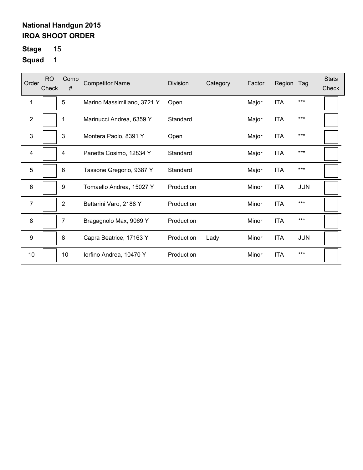**Stage** 15

| Order          | <b>RO</b><br>Check | Comp<br>#        | <b>Competitor Name</b>      | <b>Division</b> | Category | Factor | Region     | Tag        | <b>Stats</b><br>Check |
|----------------|--------------------|------------------|-----------------------------|-----------------|----------|--------|------------|------------|-----------------------|
| 1              |                    | 5                | Marino Massimiliano, 3721 Y | Open            |          | Major  | <b>ITA</b> | ***        |                       |
| $\overline{2}$ |                    | 1                | Marinucci Andrea, 6359 Y    | Standard        |          | Major  | <b>ITA</b> | ***        |                       |
| 3              |                    | 3                | Montera Paolo, 8391 Y       | Open            |          | Major  | <b>ITA</b> | ***        |                       |
| 4              |                    | 4                | Panetta Cosimo, 12834 Y     | Standard        |          | Major  | <b>ITA</b> | ***        |                       |
| 5              |                    | 6                | Tassone Gregorio, 9387 Y    | Standard        |          | Major  | <b>ITA</b> | ***        |                       |
| 6              |                    | $\boldsymbol{9}$ | Tomaello Andrea, 15027 Y    | Production      |          | Minor  | <b>ITA</b> | <b>JUN</b> |                       |
| $\overline{7}$ |                    | $\overline{2}$   | Bettarini Varo, 2188 Y      | Production      |          | Minor  | <b>ITA</b> | ***        |                       |
| 8              |                    | 7                | Bragagnolo Max, 9069 Y      | Production      |          | Minor  | <b>ITA</b> | ***        |                       |
| 9              |                    | 8                | Capra Beatrice, 17163 Y     | Production      | Lady     | Minor  | <b>ITA</b> | <b>JUN</b> |                       |
| 10             |                    | 10               | lorfino Andrea, 10470 Y     | Production      |          | Minor  | <b>ITA</b> | ***        |                       |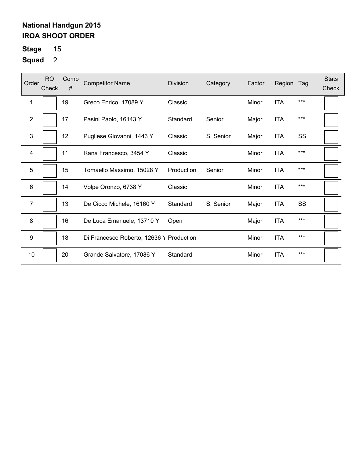**Stage** 15

| Order            | <b>RO</b><br>Check | Comp<br># | <b>Competitor Name</b>                   | <b>Division</b> | Category  | Factor | Region     | Tag   | <b>Stats</b><br>Check |
|------------------|--------------------|-----------|------------------------------------------|-----------------|-----------|--------|------------|-------|-----------------------|
| 1                |                    | 19        | Greco Enrico, 17089 Y                    | Classic         |           | Minor  | <b>ITA</b> | $***$ |                       |
| 2                |                    | 17        | Pasini Paolo, 16143 Y                    | Standard        | Senior    | Major  | ITA        | $***$ |                       |
| 3                |                    | 12        | Pugliese Giovanni, 1443 Y                | Classic         | S. Senior | Major  | <b>ITA</b> | SS    |                       |
| $\overline{4}$   |                    | 11        | Rana Francesco, 3454 Y                   | Classic         |           | Minor  | <b>ITA</b> | $***$ |                       |
| 5                |                    | 15        | Tomaello Massimo, 15028 Y                | Production      | Senior    | Minor  | <b>ITA</b> | $***$ |                       |
| 6                |                    | 14        | Volpe Oronzo, 6738 Y                     | Classic         |           | Minor  | <b>ITA</b> | ***   |                       |
| $\overline{7}$   |                    | 13        | De Cicco Michele, 16160 Y                | Standard        | S. Senior | Major  | <b>ITA</b> | SS    |                       |
| 8                |                    | 16        | De Luca Emanuele, 13710 Y                | Open            |           | Major  | <b>ITA</b> | $***$ |                       |
| $\boldsymbol{9}$ |                    | 18        | Di Francesco Roberto, 12636 \ Production |                 |           | Minor  | <b>ITA</b> | $***$ |                       |
| 10               |                    | 20        | Grande Salvatore, 17086 Y                | Standard        |           | Minor  | <b>ITA</b> | ***   |                       |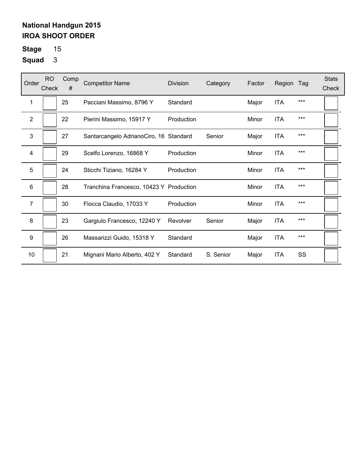**Stage** 15

| Order            | <b>RO</b><br>Check | Comp<br># | <b>Competitor Name</b>                  | <b>Division</b> | Category  | Factor | Region     | Tag   | <b>Stats</b><br>Check |
|------------------|--------------------|-----------|-----------------------------------------|-----------------|-----------|--------|------------|-------|-----------------------|
| 1                |                    | 25        | Pacciani Massimo, 8796 Y                | Standard        |           | Major  | <b>ITA</b> | $***$ |                       |
| $\mathbf{2}$     |                    | 22        | Pierini Massimo, 15917 Y                | Production      |           | Minor  | <b>ITA</b> | $***$ |                       |
| 3                |                    | 27        | Santarcangelo AdrianoCiro, 16 Standard  |                 | Senior    | Major  | <b>ITA</b> | $***$ |                       |
| 4                |                    | 29        | Scelfo Lorenzo, 16868 Y                 | Production      |           | Minor  | <b>ITA</b> | $***$ |                       |
| 5                |                    | 24        | Sticchi Tiziano, 16284 Y                | Production      |           | Minor  | <b>ITA</b> | $***$ |                       |
| 6                |                    | 28        | Tranchina Francesco, 10423 Y Production |                 |           | Minor  | <b>ITA</b> | ***   |                       |
| $\overline{7}$   |                    | 30        | Flocca Claudio, 17033 Y                 | Production      |           | Minor  | <b>ITA</b> | ***   |                       |
| 8                |                    | 23        | Gargiulo Francesco, 12240 Y             | Revolver        | Senior    | Major  | <b>ITA</b> | $***$ |                       |
| $\boldsymbol{9}$ |                    | 26        | Massarizzi Guido, 15318 Y               | Standard        |           | Major  | <b>ITA</b> | ***   |                       |
| 10               |                    | 21        | Mignani Mario Alberto, 402 Y            | Standard        | S. Senior | Major  | <b>ITA</b> | SS    |                       |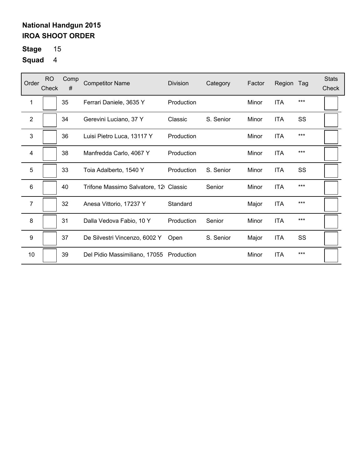**Stage** 15

| Order            | <b>RO</b><br>Check | Comp<br># | <b>Competitor Name</b>                | <b>Division</b> | Category  | Factor | Region     | Tag   | <b>Stats</b><br>Check |
|------------------|--------------------|-----------|---------------------------------------|-----------------|-----------|--------|------------|-------|-----------------------|
| 1                |                    | 35        | Ferrari Daniele, 3635 Y               | Production      |           | Minor  | <b>ITA</b> | $***$ |                       |
| 2                |                    | 34        | Gerevini Luciano, 37 Y                | Classic         | S. Senior | Minor  | ITA        | SS    |                       |
| 3                |                    | 36        | Luisi Pietro Luca, 13117 Y            | Production      |           | Minor  | <b>ITA</b> | $***$ |                       |
| 4                |                    | 38        | Manfredda Carlo, 4067 Y               | Production      |           | Minor  | <b>ITA</b> | $***$ |                       |
| 5                |                    | 33        | Toia Adalberto, 1540 Y                | Production      | S. Senior | Minor  | <b>ITA</b> | SS    |                       |
| 6                |                    | 40        | Trifone Massimo Salvatore, 12 Classic |                 | Senior    | Minor  | <b>ITA</b> | ***   |                       |
| $\overline{7}$   |                    | 32        | Anesa Vittorio, 17237 Y               | Standard        |           | Major  | <b>ITA</b> | $***$ |                       |
| 8                |                    | 31        | Dalla Vedova Fabio, 10 Y              | Production      | Senior    | Minor  | <b>ITA</b> | $***$ |                       |
| $\boldsymbol{9}$ |                    | 37        | De Silvestri Vincenzo, 6002 Y         | Open            | S. Senior | Major  | <b>ITA</b> | SS    |                       |
| 10               |                    | 39        | Del Pidio Massimiliano, 17055         | Production      |           | Minor  | <b>ITA</b> | $***$ |                       |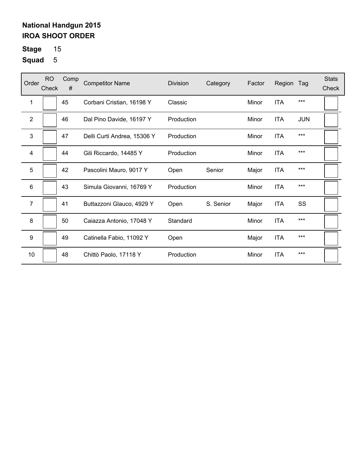**Stage** 15

| Order            | <b>RO</b><br>Check | Comp<br># | <b>Competitor Name</b>      | Division   | Category  | Factor | Region     | Tag        | <b>Stats</b><br>Check |
|------------------|--------------------|-----------|-----------------------------|------------|-----------|--------|------------|------------|-----------------------|
| 1                |                    | 45        | Corbani Cristian, 16198 Y   | Classic    |           | Minor  | <b>ITA</b> | $***$      |                       |
| $\overline{2}$   |                    | 46        | Dal Pino Davide, 16197 Y    | Production |           | Minor  | <b>ITA</b> | <b>JUN</b> |                       |
| 3                |                    | 47        | Delli Curti Andrea, 15306 Y | Production |           | Minor  | <b>ITA</b> | ***        |                       |
| 4                |                    | 44        | Gili Riccardo, 14485 Y      | Production |           | Minor  | <b>ITA</b> | $***$      |                       |
| 5                |                    | 42        | Pascolini Mauro, 9017 Y     | Open       | Senior    | Major  | <b>ITA</b> | $***$      |                       |
| 6                |                    | 43        | Simula Giovanni, 16769 Y    | Production |           | Minor  | <b>ITA</b> | $***$      |                       |
| 7                |                    | 41        | Buttazzoni Glauco, 4929 Y   | Open       | S. Senior | Major  | <b>ITA</b> | SS         |                       |
| 8                |                    | 50        | Caiazza Antonio, 17048 Y    | Standard   |           | Minor  | <b>ITA</b> | $***$      |                       |
| $\boldsymbol{9}$ |                    | 49        | Catinella Fabio, 11092 Y    | Open       |           | Major  | <b>ITA</b> | $***$      |                       |
| 10               |                    | 48        | Chittò Paolo, 17118 Y       | Production |           | Minor  | <b>ITA</b> | $***$      |                       |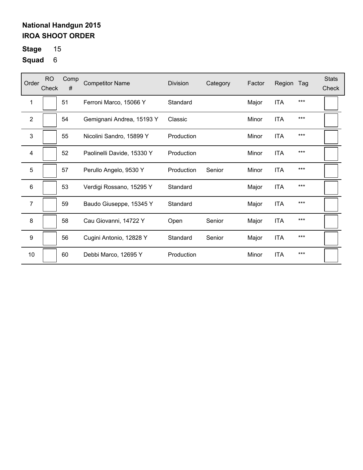**Stage** 15

| Order            | <b>RO</b><br>Check | Comp<br># | <b>Competitor Name</b>     | <b>Division</b> | Category | Factor | Region     | Tag   | <b>Stats</b><br>Check |
|------------------|--------------------|-----------|----------------------------|-----------------|----------|--------|------------|-------|-----------------------|
| 1                |                    | 51        | Ferroni Marco, 15066 Y     | Standard        |          | Major  | <b>ITA</b> | $***$ |                       |
| $\mathbf{2}$     |                    | 54        | Gemignani Andrea, 15193 Y  | Classic         |          | Minor  | <b>ITA</b> | $***$ |                       |
| 3                |                    | 55        | Nicolini Sandro, 15899 Y   | Production      |          | Minor  | <b>ITA</b> | $***$ |                       |
| 4                |                    | 52        | Paolinelli Davide, 15330 Y | Production      |          | Minor  | <b>ITA</b> | $***$ |                       |
| 5                |                    | 57        | Perullo Angelo, 9530 Y     | Production      | Senior   | Minor  | <b>ITA</b> | $***$ |                       |
| 6                |                    | 53        | Verdigi Rossano, 15295 Y   | Standard        |          | Major  | <b>ITA</b> | $***$ |                       |
| $\overline{7}$   |                    | 59        | Baudo Giuseppe, 15345 Y    | Standard        |          | Major  | <b>ITA</b> | ***   |                       |
| 8                |                    | 58        | Cau Giovanni, 14722 Y      | Open            | Senior   | Major  | <b>ITA</b> | $***$ |                       |
| $\boldsymbol{9}$ |                    | 56        | Cugini Antonio, 12828 Y    | Standard        | Senior   | Major  | <b>ITA</b> | $***$ |                       |
| 10               |                    | 60        | Debbi Marco, 12695 Y       | Production      |          | Minor  | <b>ITA</b> | $***$ |                       |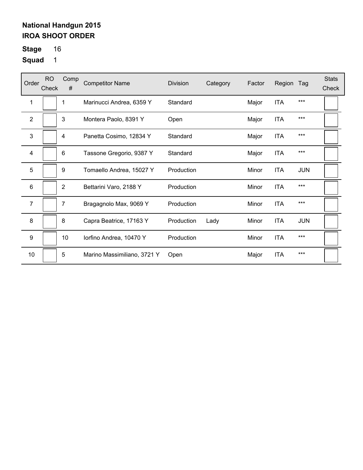**Stage** 16

| Order            | <b>RO</b><br>Check | Comp<br>#      | <b>Competitor Name</b>      | <b>Division</b> | Category | Factor | Region     | Tag        | <b>Stats</b><br>Check |
|------------------|--------------------|----------------|-----------------------------|-----------------|----------|--------|------------|------------|-----------------------|
| 1                |                    | 1              | Marinucci Andrea, 6359 Y    | Standard        |          | Major  | <b>ITA</b> | $***$      |                       |
| 2                |                    | 3              | Montera Paolo, 8391 Y       | Open            |          | Major  | <b>ITA</b> | $***$      |                       |
| 3                |                    | 4              | Panetta Cosimo, 12834 Y     | Standard        |          | Major  | <b>ITA</b> | $***$      |                       |
| 4                |                    | 6              | Tassone Gregorio, 9387 Y    | Standard        |          | Major  | <b>ITA</b> | $***$      |                       |
| 5                |                    | 9              | Tomaello Andrea, 15027 Y    | Production      |          | Minor  | <b>ITA</b> | <b>JUN</b> |                       |
| 6                |                    | $\overline{2}$ | Bettarini Varo, 2188 Y      | Production      |          | Minor  | <b>ITA</b> | ***        |                       |
| $\overline{7}$   |                    | 7              | Bragagnolo Max, 9069 Y      | Production      |          | Minor  | <b>ITA</b> | $***$      |                       |
| 8                |                    | 8              | Capra Beatrice, 17163 Y     | Production      | Lady     | Minor  | <b>ITA</b> | <b>JUN</b> |                       |
| $\boldsymbol{9}$ |                    | 10             | lorfino Andrea, 10470 Y     | Production      |          | Minor  | <b>ITA</b> | $***$      |                       |
| 10               |                    | 5              | Marino Massimiliano, 3721 Y | Open            |          | Major  | <b>ITA</b> | $***$      |                       |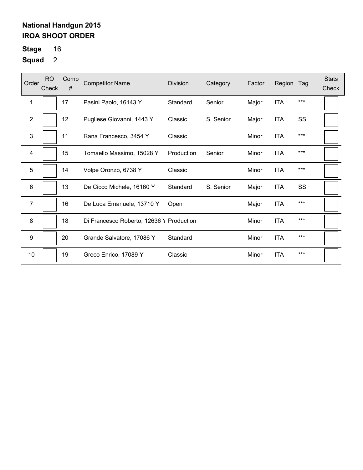**Stage** 16

| Order            | <b>RO</b><br>Check | Comp<br># | <b>Competitor Name</b>                   | Division   | Category  | Factor | Region     | Tag   | <b>Stats</b><br>Check |
|------------------|--------------------|-----------|------------------------------------------|------------|-----------|--------|------------|-------|-----------------------|
| 1                |                    | 17        | Pasini Paolo, 16143 Y                    | Standard   | Senior    | Major  | <b>ITA</b> | $***$ |                       |
| $\overline{2}$   |                    | 12        | Pugliese Giovanni, 1443 Y                | Classic    | S. Senior | Major  | <b>ITA</b> | SS    |                       |
| 3                |                    | 11        | Rana Francesco, 3454 Y                   | Classic    |           | Minor  | <b>ITA</b> | $***$ |                       |
| 4                |                    | 15        | Tomaello Massimo, 15028 Y                | Production | Senior    | Minor  | <b>ITA</b> | $***$ |                       |
| 5                |                    | 14        | Volpe Oronzo, 6738 Y                     | Classic    |           | Minor  | <b>ITA</b> | $***$ |                       |
| 6                |                    | 13        | De Cicco Michele, 16160 Y                | Standard   | S. Senior | Major  | <b>ITA</b> | SS    |                       |
| 7                |                    | 16        | De Luca Emanuele, 13710 Y                | Open       |           | Major  | <b>ITA</b> | $***$ |                       |
| 8                |                    | 18        | Di Francesco Roberto, 12636 \ Production |            |           | Minor  | <b>ITA</b> | $***$ |                       |
| $\boldsymbol{9}$ |                    | 20        | Grande Salvatore, 17086 Y                | Standard   |           | Minor  | <b>ITA</b> | $***$ |                       |
| 10               |                    | 19        | Greco Enrico, 17089 Y                    | Classic    |           | Minor  | <b>ITA</b> | $***$ |                       |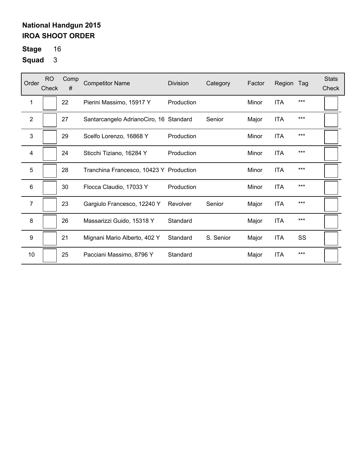**Stage** 16

| Order          | RO.<br>Check | Comp<br># | <b>Competitor Name</b>                  | Division   | Category  | Factor | Region     | Tag   | <b>Stats</b><br>Check |
|----------------|--------------|-----------|-----------------------------------------|------------|-----------|--------|------------|-------|-----------------------|
| 1              |              | 22        | Pierini Massimo, 15917 Y                | Production |           | Minor  | <b>ITA</b> | ***   |                       |
| $\overline{2}$ |              | 27        | Santarcangelo AdrianoCiro, 16 Standard  |            | Senior    | Major  | <b>ITA</b> | $***$ |                       |
| 3              |              | 29        | Scelfo Lorenzo, 16868 Y                 | Production |           | Minor  | <b>ITA</b> | $***$ |                       |
| 4              |              | 24        | Sticchi Tiziano, 16284 Y                | Production |           | Minor  | <b>ITA</b> | $***$ |                       |
| 5              |              | 28        | Tranchina Francesco, 10423 Y Production |            |           | Minor  | <b>ITA</b> | ***   |                       |
| 6              |              | 30        | Flocca Claudio, 17033 Y                 | Production |           | Minor  | <b>ITA</b> | $***$ |                       |
| 7              |              | 23        | Gargiulo Francesco, 12240 Y             | Revolver   | Senior    | Major  | <b>ITA</b> | $***$ |                       |
| 8              |              | 26        | Massarizzi Guido, 15318 Y               | Standard   |           | Major  | <b>ITA</b> | $***$ |                       |
| 9              |              | 21        | Mignani Mario Alberto, 402 Y            | Standard   | S. Senior | Major  | <b>ITA</b> | SS    |                       |
| 10             |              | 25        | Pacciani Massimo, 8796 Y                | Standard   |           | Major  | <b>ITA</b> | $***$ |                       |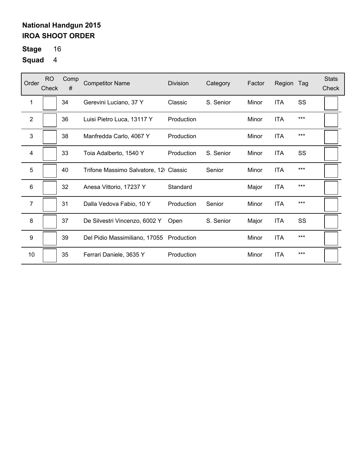**Stage** 16

| Order          | <b>RO</b><br>Check | Comp<br># | <b>Competitor Name</b>                   | Division   | Category  | Factor | Region     | Tag   | <b>Stats</b><br>Check |
|----------------|--------------------|-----------|------------------------------------------|------------|-----------|--------|------------|-------|-----------------------|
| 1              |                    | 34        | Gerevini Luciano, 37 Y                   | Classic    | S. Senior | Minor  | <b>ITA</b> | SS    |                       |
| $\overline{2}$ |                    | 36        | Luisi Pietro Luca, 13117 Y               | Production |           | Minor  | <b>ITA</b> | $***$ |                       |
| 3              |                    | 38        | Manfredda Carlo, 4067 Y                  | Production |           | Minor  | <b>ITA</b> | ***   |                       |
| 4              |                    | 33        | Toia Adalberto, 1540 Y                   | Production | S. Senior | Minor  | <b>ITA</b> | SS    |                       |
| 5              |                    | 40        | Trifone Massimo Salvatore, 12 Classic    |            | Senior    | Minor  | <b>ITA</b> | $***$ |                       |
| 6              |                    | 32        | Anesa Vittorio, 17237 Y                  | Standard   |           | Major  | <b>ITA</b> | ***   |                       |
| $\overline{7}$ |                    | 31        | Dalla Vedova Fabio, 10 Y                 | Production | Senior    | Minor  | <b>ITA</b> | $***$ |                       |
| 8              |                    | 37        | De Silvestri Vincenzo, 6002 Y            | Open       | S. Senior | Major  | <b>ITA</b> | SS    |                       |
| 9              |                    | 39        | Del Pidio Massimiliano, 17055 Production |            |           | Minor  | <b>ITA</b> | ***   |                       |
| 10             |                    | 35        | Ferrari Daniele, 3635 Y                  | Production |           | Minor  | <b>ITA</b> | $***$ |                       |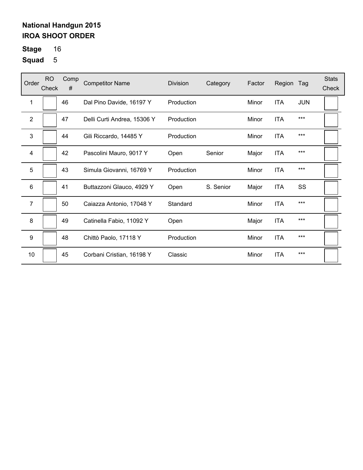**Stage** 16

| Order        | <b>RO</b><br>Check | Comp<br># | <b>Competitor Name</b>      | Division   | Category  | Factor | Region     | Tag        | <b>Stats</b><br>Check |
|--------------|--------------------|-----------|-----------------------------|------------|-----------|--------|------------|------------|-----------------------|
| 1            |                    | 46        | Dal Pino Davide, 16197 Y    | Production |           | Minor  | <b>ITA</b> | <b>JUN</b> |                       |
| $\mathbf{2}$ |                    | 47        | Delli Curti Andrea, 15306 Y | Production |           | Minor  | <b>ITA</b> | $***$      |                       |
| 3            |                    | 44        | Gili Riccardo, 14485 Y      | Production |           | Minor  | <b>ITA</b> | $***$      |                       |
| 4            |                    | 42        | Pascolini Mauro, 9017 Y     | Open       | Senior    | Major  | <b>ITA</b> | $***$      |                       |
| 5            |                    | 43        | Simula Giovanni, 16769 Y    | Production |           | Minor  | <b>ITA</b> | $***$      |                       |
| 6            |                    | 41        | Buttazzoni Glauco, 4929 Y   | Open       | S. Senior | Major  | <b>ITA</b> | SS         |                       |
| 7            |                    | 50        | Caiazza Antonio, 17048 Y    | Standard   |           | Minor  | <b>ITA</b> | $***$      |                       |
| 8            |                    | 49        | Catinella Fabio, 11092 Y    | Open       |           | Major  | <b>ITA</b> | $***$      |                       |
| 9            |                    | 48        | Chittò Paolo, 17118 Y       | Production |           | Minor  | <b>ITA</b> | $***$      |                       |
| 10           |                    | 45        | Corbani Cristian, 16198 Y   | Classic    |           | Minor  | <b>ITA</b> | $***$      |                       |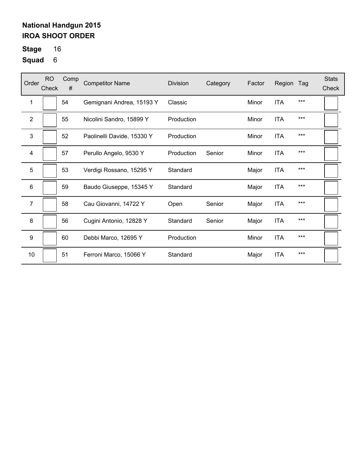**Stage** 16

| Order            | <b>RO</b><br>Check | Comp<br># | <b>Competitor Name</b>     | <b>Division</b> | Category | Factor | Region     | Tag   | <b>Stats</b><br>Check |
|------------------|--------------------|-----------|----------------------------|-----------------|----------|--------|------------|-------|-----------------------|
| 1                |                    | 54        | Gemignani Andrea, 15193 Y  | Classic         |          | Minor  | <b>ITA</b> | $***$ |                       |
| 2                |                    | 55        | Nicolini Sandro, 15899 Y   | Production      |          | Minor  | <b>ITA</b> | $***$ |                       |
| $\mathbf{3}$     |                    | 52        | Paolinelli Davide, 15330 Y | Production      |          | Minor  | <b>ITA</b> | $***$ |                       |
| 4                |                    | 57        | Perullo Angelo, 9530 Y     | Production      | Senior   | Minor  | <b>ITA</b> | $***$ |                       |
| 5                |                    | 53        | Verdigi Rossano, 15295 Y   | Standard        |          | Major  | <b>ITA</b> | $***$ |                       |
| 6                |                    | 59        | Baudo Giuseppe, 15345 Y    | Standard        |          | Major  | <b>ITA</b> | ***   |                       |
| 7                |                    | 58        | Cau Giovanni, 14722 Y      | Open            | Senior   | Major  | <b>ITA</b> | $***$ |                       |
| 8                |                    | 56        | Cugini Antonio, 12828 Y    | Standard        | Senior   | Major  | <b>ITA</b> | $***$ |                       |
| $\boldsymbol{9}$ |                    | 60        | Debbi Marco, 12695 Y       | Production      |          | Minor  | <b>ITA</b> | $***$ |                       |
| 10               |                    | 51        | Ferroni Marco, 15066 Y     | Standard        |          | Major  | <b>ITA</b> | ***   |                       |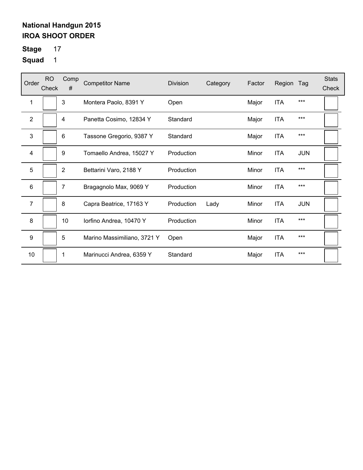**Stage** 17

| Order          | <b>RO</b><br>Check | Comp<br>#      | <b>Competitor Name</b>      | <b>Division</b> | Category | Factor | Region     | Tag        | <b>Stats</b><br>Check |
|----------------|--------------------|----------------|-----------------------------|-----------------|----------|--------|------------|------------|-----------------------|
| 1              |                    | 3              | Montera Paolo, 8391 Y       | Open            |          | Major  | <b>ITA</b> | ***        |                       |
| $\overline{2}$ |                    | 4              | Panetta Cosimo, 12834 Y     | Standard        |          | Major  | <b>ITA</b> | ***        |                       |
| 3              |                    | 6              | Tassone Gregorio, 9387 Y    | Standard        |          | Major  | <b>ITA</b> | ***        |                       |
| 4              |                    | 9              | Tomaello Andrea, 15027 Y    | Production      |          | Minor  | <b>ITA</b> | <b>JUN</b> |                       |
| 5              |                    | $\overline{2}$ | Bettarini Varo, 2188 Y      | Production      |          | Minor  | <b>ITA</b> | ***        |                       |
| 6              |                    | 7              | Bragagnolo Max, 9069 Y      | Production      |          | Minor  | <b>ITA</b> | ***        |                       |
| $\overline{7}$ |                    | 8              | Capra Beatrice, 17163 Y     | Production      | Lady     | Minor  | <b>ITA</b> | <b>JUN</b> |                       |
| 8              |                    | 10             | lorfino Andrea, 10470 Y     | Production      |          | Minor  | <b>ITA</b> | ***        |                       |
| 9              |                    | 5              | Marino Massimiliano, 3721 Y | Open            |          | Major  | <b>ITA</b> | ***        |                       |
| 10             |                    | 1              | Marinucci Andrea, 6359 Y    | Standard        |          | Major  | <b>ITA</b> | ***        |                       |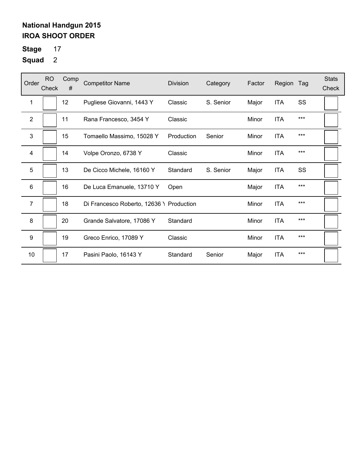**Stage** 17

| Order          | <b>RO</b><br>Check | Comp<br># | <b>Competitor Name</b>                   | Division   | Category  | Factor | Region     | Tag   | <b>Stats</b><br>Check |
|----------------|--------------------|-----------|------------------------------------------|------------|-----------|--------|------------|-------|-----------------------|
| 1              |                    | 12        | Pugliese Giovanni, 1443 Y                | Classic    | S. Senior | Major  | <b>ITA</b> | SS    |                       |
| $\overline{2}$ |                    | 11        | Rana Francesco, 3454 Y                   | Classic    |           | Minor  | <b>ITA</b> | $***$ |                       |
| 3              |                    | 15        | Tomaello Massimo, 15028 Y                | Production | Senior    | Minor  | <b>ITA</b> | ***   |                       |
| 4              |                    | 14        | Volpe Oronzo, 6738 Y                     | Classic    |           | Minor  | <b>ITA</b> | $***$ |                       |
| 5              |                    | 13        | De Cicco Michele, 16160 Y                | Standard   | S. Senior | Major  | ITA        | SS    |                       |
| 6              |                    | 16        | De Luca Emanuele, 13710 Y                | Open       |           | Major  | <b>ITA</b> | $***$ |                       |
| $\overline{7}$ |                    | 18        | Di Francesco Roberto, 12636 \ Production |            |           | Minor  | <b>ITA</b> | ***   |                       |
| 8              |                    | 20        | Grande Salvatore, 17086 Y                | Standard   |           | Minor  | <b>ITA</b> | ***   |                       |
| 9              |                    | 19        | Greco Enrico, 17089 Y                    | Classic    |           | Minor  | <b>ITA</b> | $***$ |                       |
| 10             |                    | 17        | Pasini Paolo, 16143 Y                    | Standard   | Senior    | Major  | <b>ITA</b> | ***   |                       |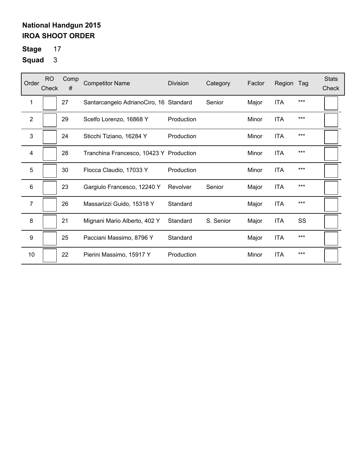**Stage** 17

| Order            | <b>RO</b><br>Check | Comp<br># | <b>Competitor Name</b>                  | <b>Division</b> | Category  | Factor | Region     | Tag   | <b>Stats</b><br>Check |
|------------------|--------------------|-----------|-----------------------------------------|-----------------|-----------|--------|------------|-------|-----------------------|
| 1                |                    | 27        | Santarcangelo AdrianoCiro, 16 Standard  |                 | Senior    | Major  | <b>ITA</b> | ***   |                       |
| $\overline{2}$   |                    | 29        | Scelfo Lorenzo, 16868 Y                 | Production      |           | Minor  | <b>ITA</b> | $***$ |                       |
| 3                |                    | 24        | Sticchi Tiziano, 16284 Y                | Production      |           | Minor  | <b>ITA</b> | $***$ |                       |
| 4                |                    | 28        | Tranchina Francesco, 10423 Y Production |                 |           | Minor  | <b>ITA</b> | $***$ |                       |
| 5                |                    | 30        | Flocca Claudio, 17033 Y                 | Production      |           | Minor  | <b>ITA</b> | $***$ |                       |
| 6                |                    | 23        | Gargiulo Francesco, 12240 Y             | Revolver        | Senior    | Major  | <b>ITA</b> | $***$ |                       |
| $\overline{7}$   |                    | 26        | Massarizzi Guido, 15318 Y               | Standard        |           | Major  | <b>ITA</b> | ***   |                       |
| 8                |                    | 21        | Mignani Mario Alberto, 402 Y            | Standard        | S. Senior | Major  | <b>ITA</b> | SS    |                       |
| $\boldsymbol{9}$ |                    | 25        | Pacciani Massimo, 8796 Y                | Standard        |           | Major  | <b>ITA</b> | ***   |                       |
| 10               |                    | 22        | Pierini Massimo, 15917 Y                | Production      |           | Minor  | <b>ITA</b> | $***$ |                       |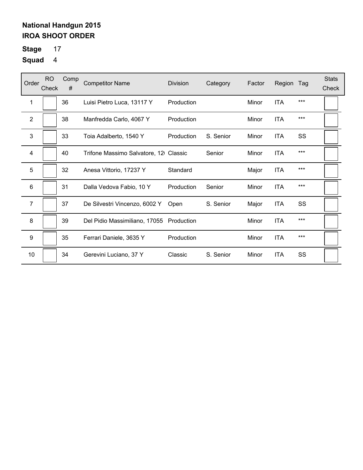**Stage** 17

| Order            | <b>RO</b><br>Check | Comp<br># | <b>Competitor Name</b>                   | <b>Division</b> | Category  | Factor | Region     | Tag   | <b>Stats</b><br>Check |
|------------------|--------------------|-----------|------------------------------------------|-----------------|-----------|--------|------------|-------|-----------------------|
| 1                |                    | 36        | Luisi Pietro Luca, 13117 Y               | Production      |           | Minor  | <b>ITA</b> | $***$ |                       |
| $\mathbf{2}$     |                    | 38        | Manfredda Carlo, 4067 Y                  | Production      |           | Minor  | <b>ITA</b> | $***$ |                       |
| 3                |                    | 33        | Toia Adalberto, 1540 Y                   | Production      | S. Senior | Minor  | <b>ITA</b> | SS    |                       |
| 4                |                    | 40        | Trifone Massimo Salvatore, 12 Classic    |                 | Senior    | Minor  | <b>ITA</b> | $***$ |                       |
| 5                |                    | 32        | Anesa Vittorio, 17237 Y                  | Standard        |           | Major  | ITA        | $***$ |                       |
| 6                |                    | 31        | Dalla Vedova Fabio, 10 Y                 | Production      | Senior    | Minor  | <b>ITA</b> | ***   |                       |
| $\overline{7}$   |                    | 37        | De Silvestri Vincenzo, 6002 Y            | Open            | S. Senior | Major  | <b>ITA</b> | SS    |                       |
| 8                |                    | 39        | Del Pidio Massimiliano, 17055 Production |                 |           | Minor  | <b>ITA</b> | $***$ |                       |
| $\boldsymbol{9}$ |                    | 35        | Ferrari Daniele, 3635 Y                  | Production      |           | Minor  | <b>ITA</b> | ***   |                       |
| 10               |                    | 34        | Gerevini Luciano, 37 Y                   | Classic         | S. Senior | Minor  | <b>ITA</b> | SS    |                       |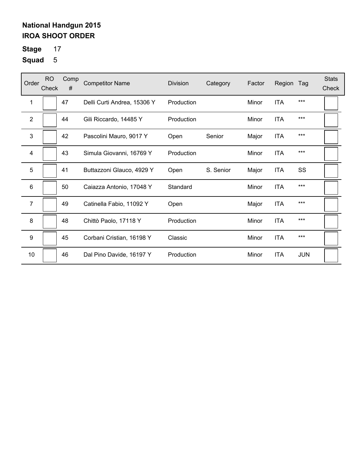**Stage** 17

| Order          | <b>RO</b><br>Check | Comp<br># | <b>Competitor Name</b>      | Division   | Category  | Factor | Region     | Tag        | <b>Stats</b><br>Check |
|----------------|--------------------|-----------|-----------------------------|------------|-----------|--------|------------|------------|-----------------------|
| 1              |                    | 47        | Delli Curti Andrea, 15306 Y | Production |           | Minor  | <b>ITA</b> | $***$      |                       |
| $\overline{2}$ |                    | 44        | Gili Riccardo, 14485 Y      | Production |           | Minor  | <b>ITA</b> | $***$      |                       |
| 3              |                    | 42        | Pascolini Mauro, 9017 Y     | Open       | Senior    | Major  | <b>ITA</b> | ***        |                       |
| 4              |                    | 43        | Simula Giovanni, 16769 Y    | Production |           | Minor  | <b>ITA</b> | $***$      |                       |
| 5              |                    | 41        | Buttazzoni Glauco, 4929 Y   | Open       | S. Senior | Major  | <b>ITA</b> | SS         |                       |
| 6              |                    | 50        | Caiazza Antonio, 17048 Y    | Standard   |           | Minor  | <b>ITA</b> | $***$      |                       |
| 7              |                    | 49        | Catinella Fabio, 11092 Y    | Open       |           | Major  | <b>ITA</b> | $***$      |                       |
| 8              |                    | 48        | Chittò Paolo, 17118 Y       | Production |           | Minor  | <b>ITA</b> | ***        |                       |
| 9              |                    | 45        | Corbani Cristian, 16198 Y   | Classic    |           | Minor  | <b>ITA</b> | $***$      |                       |
| 10             |                    | 46        | Dal Pino Davide, 16197 Y    | Production |           | Minor  | <b>ITA</b> | <b>JUN</b> |                       |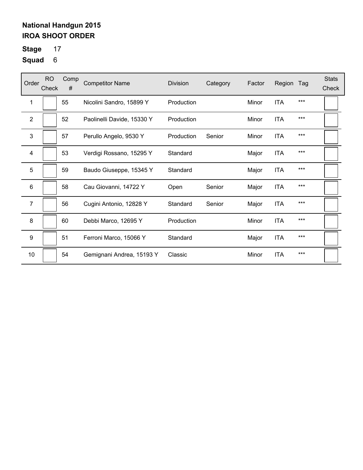**Stage** 17

| Order            | <b>RO</b><br>Check | Comp<br># | <b>Competitor Name</b>     | <b>Division</b> | Category | Factor | Region     | Tag   | <b>Stats</b><br>Check |
|------------------|--------------------|-----------|----------------------------|-----------------|----------|--------|------------|-------|-----------------------|
| 1                |                    | 55        | Nicolini Sandro, 15899 Y   | Production      |          | Minor  | <b>ITA</b> | $***$ |                       |
| $\mathbf{2}$     |                    | 52        | Paolinelli Davide, 15330 Y | Production      |          | Minor  | <b>ITA</b> | $***$ |                       |
| 3                |                    | 57        | Perullo Angelo, 9530 Y     | Production      | Senior   | Minor  | <b>ITA</b> | $***$ |                       |
| 4                |                    | 53        | Verdigi Rossano, 15295 Y   | Standard        |          | Major  | <b>ITA</b> | $***$ |                       |
| 5                |                    | 59        | Baudo Giuseppe, 15345 Y    | Standard        |          | Major  | <b>ITA</b> | $***$ |                       |
| 6                |                    | 58        | Cau Giovanni, 14722 Y      | Open            | Senior   | Major  | <b>ITA</b> | $***$ |                       |
| $\overline{7}$   |                    | 56        | Cugini Antonio, 12828 Y    | Standard        | Senior   | Major  | <b>ITA</b> | $***$ |                       |
| 8                |                    | 60        | Debbi Marco, 12695 Y       | Production      |          | Minor  | <b>ITA</b> | $***$ |                       |
| $\boldsymbol{9}$ |                    | 51        | Ferroni Marco, 15066 Y     | Standard        |          | Major  | <b>ITA</b> | $***$ |                       |
| 10               |                    | 54        | Gemignani Andrea, 15193 Y  | Classic         |          | Minor  | <b>ITA</b> | ***   |                       |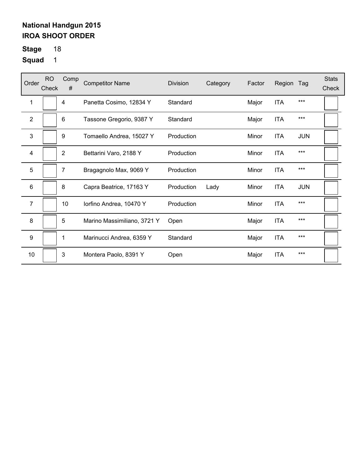**Stage** 18

| Order            | <b>RO</b><br>Check | Comp<br>#      | <b>Competitor Name</b>      | <b>Division</b> | Category | Factor | Region     | Tag        | <b>Stats</b><br>Check |
|------------------|--------------------|----------------|-----------------------------|-----------------|----------|--------|------------|------------|-----------------------|
| 1                |                    | 4              | Panetta Cosimo, 12834 Y     | Standard        |          | Major  | <b>ITA</b> | $***$      |                       |
| 2                |                    | 6              | Tassone Gregorio, 9387 Y    | Standard        |          | Major  | <b>ITA</b> | $***$      |                       |
| 3                |                    | 9              | Tomaello Andrea, 15027 Y    | Production      |          | Minor  | <b>ITA</b> | <b>JUN</b> |                       |
| $\overline{4}$   |                    | $\overline{2}$ | Bettarini Varo, 2188 Y      | Production      |          | Minor  | <b>ITA</b> | $***$      |                       |
| 5                |                    | $\overline{7}$ | Bragagnolo Max, 9069 Y      | Production      |          | Minor  | <b>ITA</b> | $***$      |                       |
| 6                |                    | 8              | Capra Beatrice, 17163 Y     | Production      | Lady     | Minor  | <b>ITA</b> | <b>JUN</b> |                       |
| 7                |                    | 10             | lorfino Andrea, 10470 Y     | Production      |          | Minor  | <b>ITA</b> | $***$      |                       |
| 8                |                    | 5              | Marino Massimiliano, 3721 Y | Open            |          | Major  | <b>ITA</b> | $***$      |                       |
| $\boldsymbol{9}$ |                    | 1              | Marinucci Andrea, 6359 Y    | Standard        |          | Major  | <b>ITA</b> | $***$      |                       |
| 10               |                    | 3              | Montera Paolo, 8391 Y       | Open            |          | Major  | <b>ITA</b> | $***$      |                       |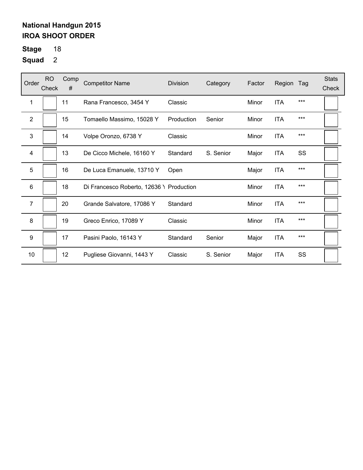**Stage** 18

| Order                   | <b>RO</b><br>Check | Comp<br># | <b>Competitor Name</b>                   | Division   | Category  | Factor | Region     | Tag   | <b>Stats</b><br>Check |
|-------------------------|--------------------|-----------|------------------------------------------|------------|-----------|--------|------------|-------|-----------------------|
| 1                       |                    | 11        | Rana Francesco, 3454 Y                   | Classic    |           | Minor  | <b>ITA</b> | $***$ |                       |
| $\mathbf{2}$            |                    | 15        | Tomaello Massimo, 15028 Y                | Production | Senior    | Minor  | <b>ITA</b> | $***$ |                       |
| 3                       |                    | 14        | Volpe Oronzo, 6738 Y                     | Classic    |           | Minor  | <b>ITA</b> | $***$ |                       |
| $\overline{\mathbf{4}}$ |                    | 13        | De Cicco Michele, 16160 Y                | Standard   | S. Senior | Major  | <b>ITA</b> | SS    |                       |
| 5                       |                    | 16        | De Luca Emanuele, 13710 Y                | Open       |           | Major  | ITA        | $***$ |                       |
| 6                       |                    | 18        | Di Francesco Roberto, 12636 \ Production |            |           | Minor  | <b>ITA</b> | ***   |                       |
| $\overline{7}$          |                    | 20        | Grande Salvatore, 17086 Y                | Standard   |           | Minor  | <b>ITA</b> | ***   |                       |
| 8                       |                    | 19        | Greco Enrico, 17089 Y                    | Classic    |           | Minor  | <b>ITA</b> | $***$ |                       |
| $\boldsymbol{9}$        |                    | 17        | Pasini Paolo, 16143 Y                    | Standard   | Senior    | Major  | <b>ITA</b> | $***$ |                       |
| 10                      |                    | 12        | Pugliese Giovanni, 1443 Y                | Classic    | S. Senior | Major  | <b>ITA</b> | SS    |                       |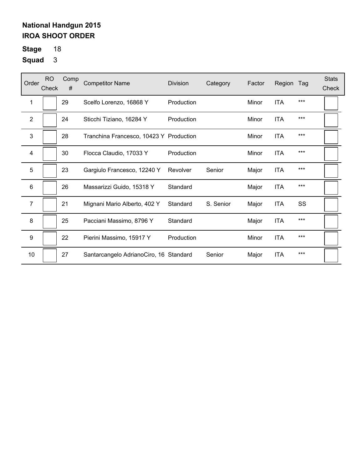**Stage** 18

| Order            | <b>RO</b><br>Check | Comp<br># | <b>Competitor Name</b>                  | <b>Division</b> | Category  | Factor | Region     | Tag   | <b>Stats</b><br>Check |
|------------------|--------------------|-----------|-----------------------------------------|-----------------|-----------|--------|------------|-------|-----------------------|
| 1                |                    | 29        | Scelfo Lorenzo, 16868 Y                 | Production      |           | Minor  | <b>ITA</b> | $***$ |                       |
| $\overline{2}$   |                    | 24        | Sticchi Tiziano, 16284 Y                | Production      |           | Minor  | <b>ITA</b> | $***$ |                       |
| 3                |                    | 28        | Tranchina Francesco, 10423 Y Production |                 |           | Minor  | <b>ITA</b> | $***$ |                       |
| 4                |                    | 30        | Flocca Claudio, 17033 Y                 | Production      |           | Minor  | <b>ITA</b> | $***$ |                       |
| 5                |                    | 23        | Gargiulo Francesco, 12240 Y             | Revolver        | Senior    | Major  | ITA        | $***$ |                       |
| 6                |                    | 26        | Massarizzi Guido, 15318 Y               | Standard        |           | Major  | <b>ITA</b> | ***   |                       |
| $\overline{7}$   |                    | 21        | Mignani Mario Alberto, 402 Y            | Standard        | S. Senior | Major  | <b>ITA</b> | SS    |                       |
| 8                |                    | 25        | Pacciani Massimo, 8796 Y                | Standard        |           | Major  | <b>ITA</b> | $***$ |                       |
| $\boldsymbol{9}$ |                    | 22        | Pierini Massimo, 15917 Y                | Production      |           | Minor  | <b>ITA</b> | ***   |                       |
| 10               |                    | 27        | Santarcangelo AdrianoCiro, 16 Standard  |                 | Senior    | Major  | <b>ITA</b> | $***$ |                       |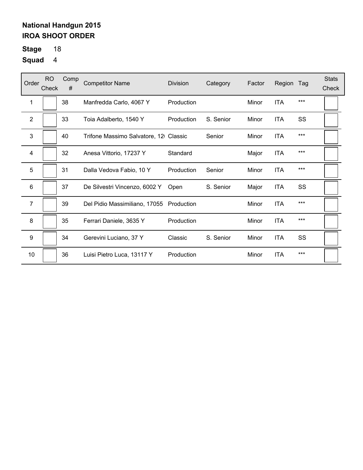**Stage** 18

| Order            | <b>RO</b><br>Check | Comp<br># | <b>Competitor Name</b>                   | <b>Division</b> | Category  | Factor | Region     | Tag   | <b>Stats</b><br>Check |
|------------------|--------------------|-----------|------------------------------------------|-----------------|-----------|--------|------------|-------|-----------------------|
| 1                |                    | 38        | Manfredda Carlo, 4067 Y                  | Production      |           | Minor  | <b>ITA</b> | $***$ |                       |
| $\mathbf{2}$     |                    | 33        | Toia Adalberto, 1540 Y                   | Production      | S. Senior | Minor  | <b>ITA</b> | SS    |                       |
| 3                |                    | 40        | Trifone Massimo Salvatore, 12 Classic    |                 | Senior    | Minor  | <b>ITA</b> | $***$ |                       |
| 4                |                    | 32        | Anesa Vittorio, 17237 Y                  | Standard        |           | Major  | <b>ITA</b> | $***$ |                       |
| 5                |                    | 31        | Dalla Vedova Fabio, 10 Y                 | Production      | Senior    | Minor  | ITA        | $***$ |                       |
| 6                |                    | 37        | De Silvestri Vincenzo, 6002 Y            | Open            | S. Senior | Major  | <b>ITA</b> | SS    |                       |
| $\overline{7}$   |                    | 39        | Del Pidio Massimiliano, 17055 Production |                 |           | Minor  | <b>ITA</b> | ***   |                       |
| 8                |                    | 35        | Ferrari Daniele, 3635 Y                  | Production      |           | Minor  | <b>ITA</b> | $***$ |                       |
| $\boldsymbol{9}$ |                    | 34        | Gerevini Luciano, 37 Y                   | Classic         | S. Senior | Minor  | <b>ITA</b> | SS    |                       |
| 10               |                    | 36        | Luisi Pietro Luca, 13117 Y               | Production      |           | Minor  | <b>ITA</b> | $***$ |                       |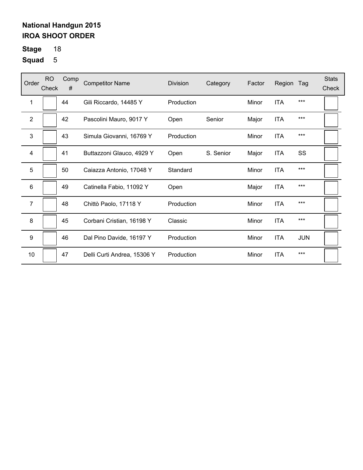**Stage** 18

| Order            | <b>RO</b><br>Check | Comp<br># | <b>Competitor Name</b>      | <b>Division</b> | Category  | Factor | Region     | Tag        | <b>Stats</b><br>Check |
|------------------|--------------------|-----------|-----------------------------|-----------------|-----------|--------|------------|------------|-----------------------|
| 1                |                    | 44        | Gili Riccardo, 14485 Y      | Production      |           | Minor  | <b>ITA</b> | $***$      |                       |
| 2                |                    | 42        | Pascolini Mauro, 9017 Y     | Open            | Senior    | Major  | <b>ITA</b> | $***$      |                       |
| $\mathbf{3}$     |                    | 43        | Simula Giovanni, 16769 Y    | Production      |           | Minor  | <b>ITA</b> | $***$      |                       |
| 4                |                    | 41        | Buttazzoni Glauco, 4929 Y   | Open            | S. Senior | Major  | <b>ITA</b> | SS         |                       |
| 5                |                    | 50        | Caiazza Antonio, 17048 Y    | Standard        |           | Minor  | <b>ITA</b> | $***$      |                       |
| 6                |                    | 49        | Catinella Fabio, 11092 Y    | Open            |           | Major  | <b>ITA</b> | ***        |                       |
| $\overline{7}$   |                    | 48        | Chittò Paolo, 17118 Y       | Production      |           | Minor  | <b>ITA</b> | $***$      |                       |
| 8                |                    | 45        | Corbani Cristian, 16198 Y   | Classic         |           | Minor  | <b>ITA</b> | $***$      |                       |
| $\boldsymbol{9}$ |                    | 46        | Dal Pino Davide, 16197 Y    | Production      |           | Minor  | <b>ITA</b> | <b>JUN</b> |                       |
| 10               |                    | 47        | Delli Curti Andrea, 15306 Y | Production      |           | Minor  | <b>ITA</b> | ***        |                       |